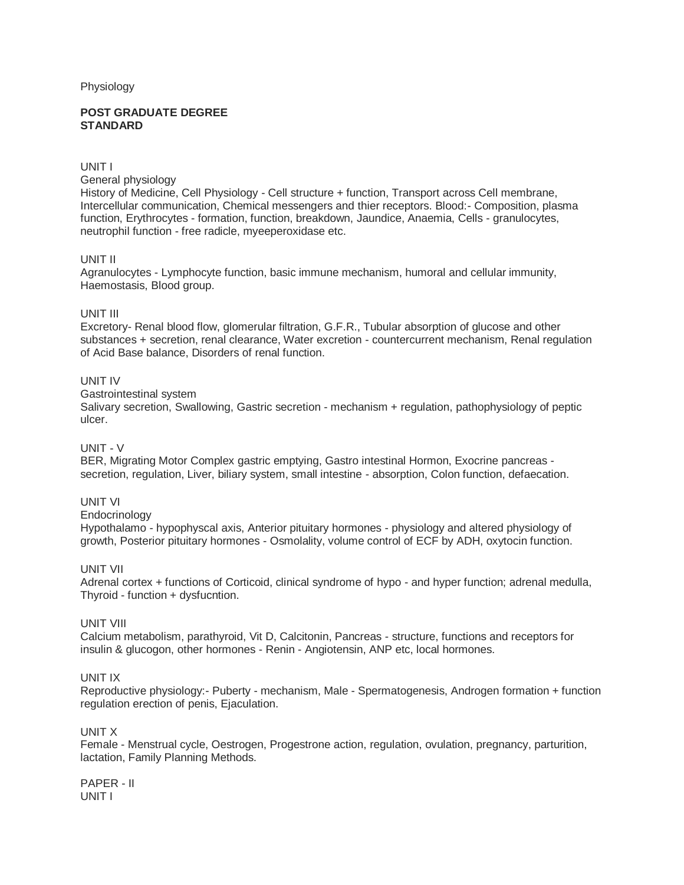### Physiology

### **POST GRADUATE DEGREE STANDARD**

# UNIT I

General physiology

History of Medicine, Cell Physiology - Cell structure + function, Transport across Cell membrane, Intercellular communication, Chemical messengers and thier receptors. Blood:- Composition, plasma function, Erythrocytes - formation, function, breakdown, Jaundice, Anaemia, Cells - granulocytes, neutrophil function - free radicle, myeeperoxidase etc.

# UNIT II

Agranulocytes - Lymphocyte function, basic immune mechanism, humoral and cellular immunity, Haemostasis, Blood group.

# UNIT III

Excretory- Renal blood flow, glomerular filtration, G.F.R., Tubular absorption of glucose and other substances + secretion, renal clearance, Water excretion - countercurrent mechanism, Renal regulation of Acid Base balance, Disorders of renal function.

# UNIT IV

Gastrointestinal system

Salivary secretion, Swallowing, Gastric secretion - mechanism + regulation, pathophysiology of peptic ulcer.

# UNIT - V

BER, Migrating Motor Complex gastric emptying, Gastro intestinal Hormon, Exocrine pancreas secretion, regulation, Liver, biliary system, small intestine - absorption, Colon function, defaecation.

# UNIT VI

### Endocrinology

Hypothalamo - hypophyscal axis, Anterior pituitary hormones - physiology and altered physiology of growth, Posterior pituitary hormones - Osmolality, volume control of ECF by ADH, oxytocin function.

# UNIT VII

Adrenal cortex + functions of Corticoid, clinical syndrome of hypo - and hyper function; adrenal medulla, Thyroid - function + dysfucntion.

# UNIT VIII

Calcium metabolism, parathyroid, Vit D, Calcitonin, Pancreas - structure, functions and receptors for insulin & glucogon, other hormones - Renin - Angiotensin, ANP etc, local hormones.

# UNIT IX

Reproductive physiology:- Puberty - mechanism, Male - Spermatogenesis, Androgen formation + function regulation erection of penis, Ejaculation.

# UNIT X

Female - Menstrual cycle, Oestrogen, Progestrone action, regulation, ovulation, pregnancy, parturition, lactation, Family Planning Methods.

PAPER - II UNIT I